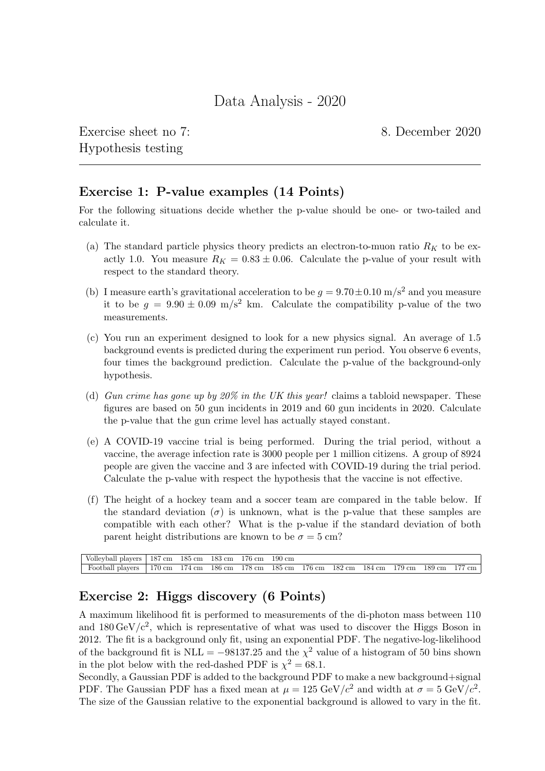Exercise sheet no 7: 8. December 2020 Hypothesis testing

## Exercise 1: P-value examples (14 Points)

For the following situations decide whether the p-value should be one- or two-tailed and calculate it.

- (a) The standard particle physics theory predicts an electron-to-muon ratio  $R_K$  to be exactly 1.0. You measure  $R_K = 0.83 \pm 0.06$ . Calculate the p-value of your result with respect to the standard theory.
- (b) I measure earth's gravitational acceleration to be  $g = 9.70 \pm 0.10$  m/s<sup>2</sup> and you measure it to be  $g = 9.90 \pm 0.09$  m/s<sup>2</sup> km. Calculate the compatibility p-value of the two measurements.
- (c) You run an experiment designed to look for a new physics signal. An average of 1.5 background events is predicted during the experiment run period. You observe 6 events, four times the background prediction. Calculate the p-value of the background-only hypothesis.
- (d) Gun crime has gone up by 20% in the UK this year! claims a tabloid newspaper. These figures are based on 50 gun incidents in 2019 and 60 gun incidents in 2020. Calculate the p-value that the gun crime level has actually stayed constant.
- (e) A COVID-19 vaccine trial is being performed. During the trial period, without a vaccine, the average infection rate is 3000 people per 1 million citizens. A group of 8924 people are given the vaccine and 3 are infected with COVID-19 during the trial period. Calculate the p-value with respect the hypothesis that the vaccine is not effective.
- (f) The height of a hockey team and a soccer team are compared in the table below. If the standard deviation  $(\sigma)$  is unknown, what is the p-value that these samples are compatible with each other? What is the p-value if the standard deviation of both parent height distributions are known to be  $\sigma = 5$  cm?

| Volleyball players   $187 \text{ cm}$ $185 \text{ cm}$ $183 \text{ cm}$ $176 \text{ cm}$ $190 \text{ cm}$                                         |  |  |  |  |  |  |
|---------------------------------------------------------------------------------------------------------------------------------------------------|--|--|--|--|--|--|
| Football players   170 cm $174 \text{ cm}$ 186 cm $178 \text{ cm}$ 185 cm $176 \text{ cm}$ 182 cm $184 \text{ cm}$ 179 cm $189 \text{ cm}$ 177 cm |  |  |  |  |  |  |

## Exercise 2: Higgs discovery (6 Points)

A maximum likelihood fit is performed to measurements of the di-photon mass between 110 and  $180 \,\mathrm{GeV/c^2}$ , which is representative of what was used to discover the Higgs Boson in 2012. The fit is a background only fit, using an exponential PDF. The negative-log-likelihood of the background fit is NLL =  $-98137.25$  and the  $\chi^2$  value of a histogram of 50 bins shown in the plot below with the red-dashed PDF is  $\chi^2 = 68.1$ .

Secondly, a Gaussian PDF is added to the background PDF to make a new background+signal PDF. The Gaussian PDF has a fixed mean at  $\mu = 125 \text{ GeV}/c^2$  and width at  $\sigma = 5 \text{ GeV}/c^2$ . The size of the Gaussian relative to the exponential background is allowed to vary in the fit.